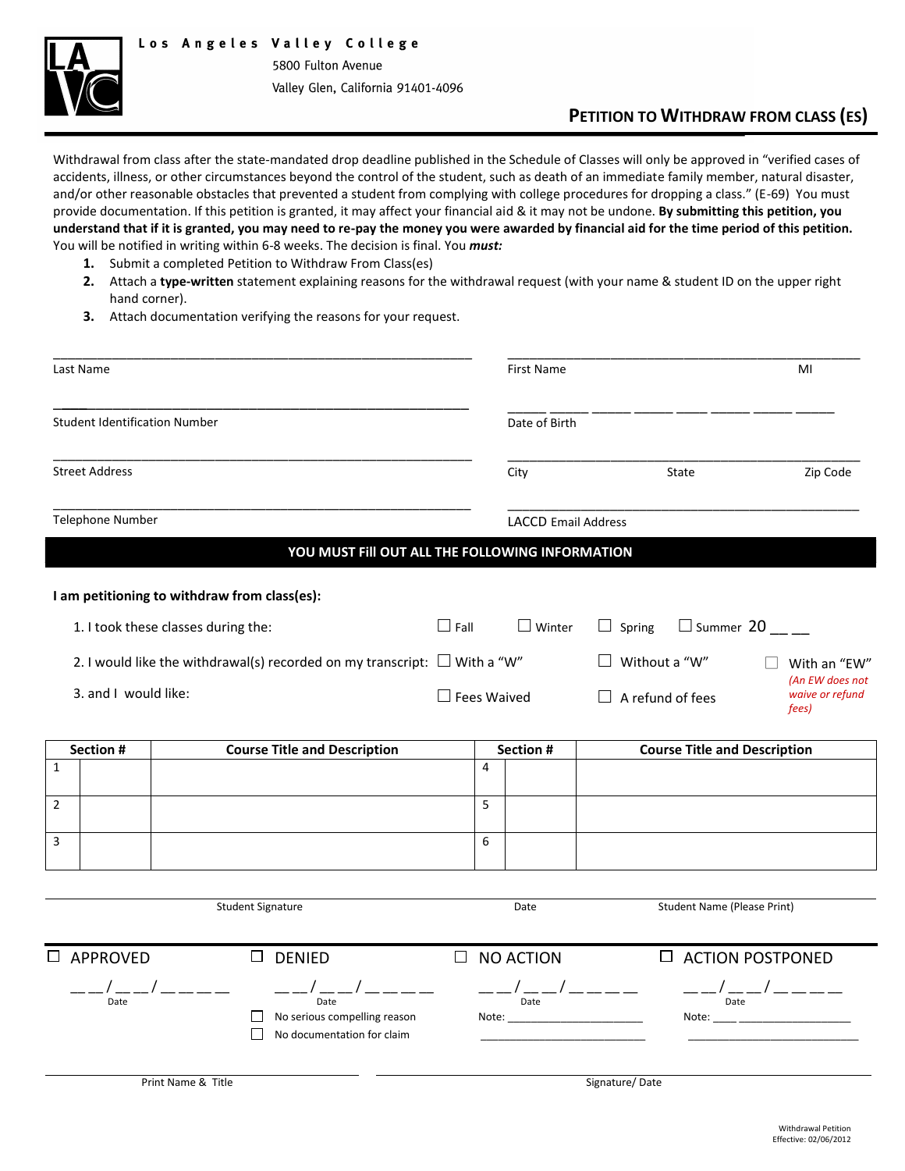

5800 Fulton Avenue Valley Glen, California 91401-4096

## **PETITION TO WITHDRAW FROM CLASS (ES)**

Withdrawal from class after the state-mandated drop deadline published in the Schedule of Classes will only be approved in "verified cases of accidents, illness, or other circumstances beyond the control of the student, such as death of an immediate family member, natural disaster, and/or other reasonable obstacles that prevented a student from complying with college procedures for dropping a class." (E-69) You must provide documentation. If this petition is granted, it may affect your financial aid & it may not be undone. **By submitting this petition, you understand that if it is granted, you may need to re-pay the money you were awarded by financial aid for the time period of this petition.** You will be notified in writing within 6-8 weeks. The decision is final. You *must:*

- **1.** Submit a completed Petition to Withdraw From Class(es)
- **2.** Attach a **type-written** statement explaining reasons for the withdrawal request (with your name & student ID on the upper right hand corner).
- **3.** Attach documentation verifying the reasons for your request.

| Last Name                                                                         |                                                                              |        | <b>First Name</b>          |                                                                                                                                                  |                                     |                                    | MI                       |                                      |
|-----------------------------------------------------------------------------------|------------------------------------------------------------------------------|--------|----------------------------|--------------------------------------------------------------------------------------------------------------------------------------------------|-------------------------------------|------------------------------------|--------------------------|--------------------------------------|
| <b>Student Identification Number</b>                                              |                                                                              |        | Date of Birth              |                                                                                                                                                  |                                     |                                    |                          |                                      |
| <b>Street Address</b>                                                             |                                                                              |        |                            | City<br>State                                                                                                                                    |                                     |                                    |                          | Zip Code                             |
| Telephone Number                                                                  |                                                                              |        | <b>LACCD Email Address</b> |                                                                                                                                                  |                                     |                                    |                          |                                      |
|                                                                                   | YOU MUST FIII OUT ALL THE FOLLOWING INFORMATION                              |        |                            |                                                                                                                                                  |                                     |                                    |                          |                                      |
|                                                                                   | I am petitioning to withdraw from class(es):                                 |        |                            |                                                                                                                                                  |                                     |                                    |                          |                                      |
| 1. I took these classes during the:                                               |                                                                              |        |                            | $\Box$ Winter                                                                                                                                    | $\Box$ Spring                       | $\Box$ Summer 20                   |                          |                                      |
| 2. I would like the withdrawal(s) recorded on my transcript: $\square$ With a "W" |                                                                              |        |                            |                                                                                                                                                  | Without a "W"                       |                                    |                          | With an "EW"<br>(An EW does not      |
| 3. and I would like:                                                              |                                                                              |        | $\Box$ Fees Waived         |                                                                                                                                                  | $\Box$ A refund of fees             |                                    | waive or refund<br>fees) |                                      |
| Section #                                                                         | <b>Course Title and Description</b>                                          |        | Section #                  |                                                                                                                                                  | <b>Course Title and Description</b> |                                    |                          |                                      |
| $\mathbf{1}$                                                                      |                                                                              |        | 4                          |                                                                                                                                                  |                                     |                                    |                          |                                      |
| $\mathbf 2$                                                                       |                                                                              |        | 5                          |                                                                                                                                                  |                                     |                                    |                          |                                      |
| 3                                                                                 |                                                                              |        | 6                          |                                                                                                                                                  |                                     |                                    |                          |                                      |
|                                                                                   |                                                                              |        |                            |                                                                                                                                                  |                                     |                                    |                          |                                      |
|                                                                                   | <b>Student Signature</b>                                                     |        |                            | Date                                                                                                                                             |                                     | <b>Student Name (Please Print)</b> |                          |                                      |
| □ APPROVED                                                                        | $\square$ DENIED                                                             | $\Box$ |                            | NO ACTION                                                                                                                                        |                                     | $\Box$ ACTION POSTPONED            |                          |                                      |
| Date                                                                              | Date<br>No serious compelling reason<br>$\Box$<br>No documentation for claim |        |                            | $---/_{_{\mathrm{Date}}}-/---$<br>Note: and the state of the state of the state of the state of the state of the state of the state of the state |                                     |                                    |                          | $---/$ <sub>Date</sub> $---$ — — — — |
|                                                                                   | Print Name & Title                                                           |        |                            |                                                                                                                                                  | Signature/Date                      |                                    |                          |                                      |